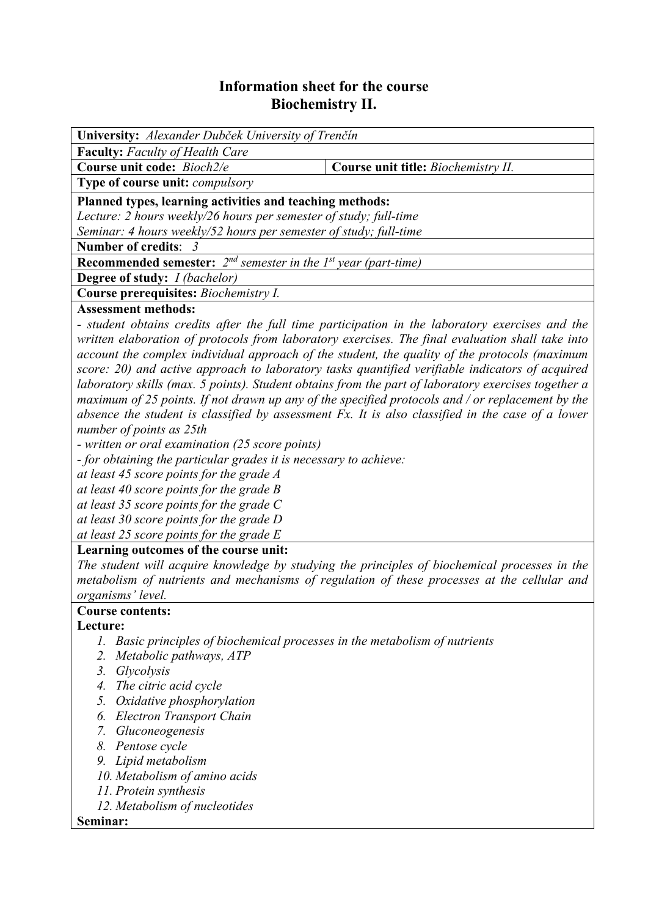## **Information sheet for the course Biochemistry II.**

| University: Alexander Dubček University of Trenčín                                                  |  |  |  |  |  |  |
|-----------------------------------------------------------------------------------------------------|--|--|--|--|--|--|
| Faculty: Faculty of Health Care                                                                     |  |  |  |  |  |  |
| Course unit code: Bioch2/e<br>Course unit title: Biochemistry II.                                   |  |  |  |  |  |  |
| <b>Type of course unit: compulsory</b>                                                              |  |  |  |  |  |  |
| Planned types, learning activities and teaching methods:                                            |  |  |  |  |  |  |
| Lecture: 2 hours weekly/26 hours per semester of study; full-time                                   |  |  |  |  |  |  |
| Seminar: 4 hours weekly/52 hours per semester of study; full-time                                   |  |  |  |  |  |  |
| Number of credits: 3                                                                                |  |  |  |  |  |  |
| <b>Recommended semester:</b> $2^{nd}$ semester in the 1st year (part-time)                          |  |  |  |  |  |  |
| <b>Degree of study:</b> <i>I (bachelor)</i>                                                         |  |  |  |  |  |  |
| Course prerequisites: Biochemistry I.                                                               |  |  |  |  |  |  |
| <b>Assessment methods:</b>                                                                          |  |  |  |  |  |  |
| - student obtains credits after the full time participation in the laboratory exercises and the     |  |  |  |  |  |  |
| written elaboration of protocols from laboratory exercises. The final evaluation shall take into    |  |  |  |  |  |  |
| account the complex individual approach of the student, the quality of the protocols (maximum       |  |  |  |  |  |  |
| score: 20) and active approach to laboratory tasks quantified verifiable indicators of acquired     |  |  |  |  |  |  |
| laboratory skills (max. 5 points). Student obtains from the part of laboratory exercises together a |  |  |  |  |  |  |
| maximum of 25 points. If not drawn up any of the specified protocols and / or replacement by the    |  |  |  |  |  |  |
| absence the student is classified by assessment Fx. It is also classified in the case of a lower    |  |  |  |  |  |  |
| number of points as 25th                                                                            |  |  |  |  |  |  |
| - written or oral examination (25 score points)                                                     |  |  |  |  |  |  |
| - for obtaining the particular grades it is necessary to achieve:                                   |  |  |  |  |  |  |
| at least 45 score points for the grade A                                                            |  |  |  |  |  |  |
| at least 40 score points for the grade $B$                                                          |  |  |  |  |  |  |
| at least 35 score points for the grade $C$                                                          |  |  |  |  |  |  |
| at least 30 score points for the grade $D$                                                          |  |  |  |  |  |  |
| at least 25 score points for the grade $E$                                                          |  |  |  |  |  |  |
| Learning outcomes of the course unit:                                                               |  |  |  |  |  |  |
| The student will acquire knowledge by studying the principles of biochemical processes in the       |  |  |  |  |  |  |
| metabolism of nutrients and mechanisms of regulation of these processes at the cellular and         |  |  |  |  |  |  |
| organisms' level.                                                                                   |  |  |  |  |  |  |
| <b>Course contents:</b>                                                                             |  |  |  |  |  |  |
| Lecture:                                                                                            |  |  |  |  |  |  |
| 1. Basic principles of biochemical processes in the metabolism of nutrients                         |  |  |  |  |  |  |
| 2.<br>Metabolic pathways, ATP                                                                       |  |  |  |  |  |  |
| Glycolysis<br>3.                                                                                    |  |  |  |  |  |  |
| 4. The citric acid cycle                                                                            |  |  |  |  |  |  |
| 5.<br>Oxidative phosphorylation                                                                     |  |  |  |  |  |  |
| <b>Electron Transport Chain</b><br>6.                                                               |  |  |  |  |  |  |
| Gluconeogenesis<br>7.                                                                               |  |  |  |  |  |  |
| 8.<br>Pentose cycle                                                                                 |  |  |  |  |  |  |

- *9. Lipid metabolism*
- *10. Metabolism of amino acids*
- *11. Protein synthesis*
- *12. Metabolism of nucleotides*

## **Seminar:**